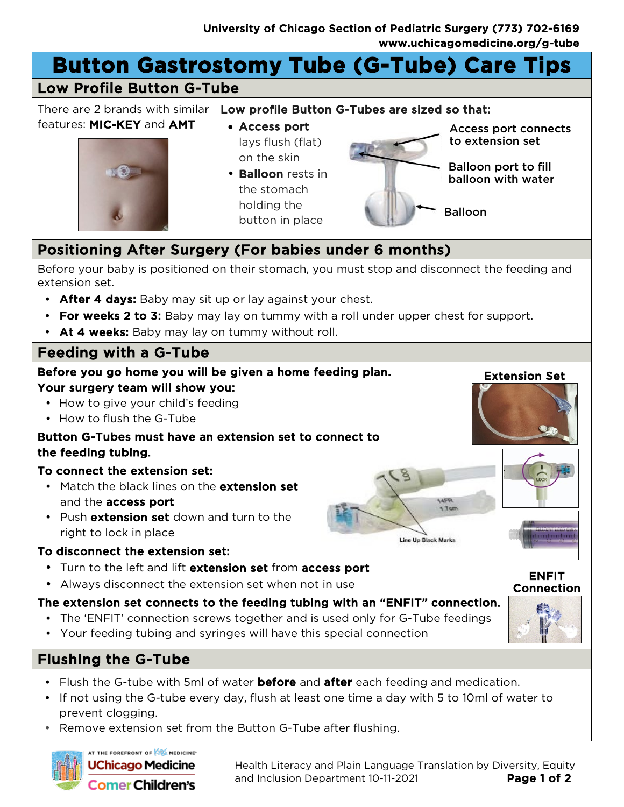#### **Button Gastrostomy Tube (G-Tube) Care Tips** Low Profile Button G-Tube There are 2 brands with similar Low profile Button G-Tubes are sized so that: features: MIC-KEY and AMT • Access port Access port connects to extension set lays flush (flat) on the skin Balloon port to fill • Balloon rests in balloon with water the stomach holding the Balloonbutton in place Positioning After Surgery (For babies under 6 months) Before your baby is positioned on their stomach, you must stop and disconnect the feeding and extension set. • After 4 days: Baby may sit up or lay against your chest. • For weeks 2 to 3: Baby may lay on tummy with a roll under upper chest for support. At 4 weeks: Baby may lay on tummy without roll. Feeding with a G-Tube Before you go home you will be given a home feeding plan. Extension Set Your surgery team will show you: • How to give your child's feeding • How to flush the G-Tube Button G-Tubes must have an extension set to connect to the feeding tubing. To connect the extension set: • Match the black lines on the extension set **HFR** and the **access port** 1.Tem • Push extension set down and turn to the right to lock in place **Line Up Black Marks** To disconnect the extension set: • Turn to the left and lift extension set from access port ENFIT • Always disconnect the extension set when not in use Connection The extension set connects to the feeding tubing with an "ENFIT" connection. • The 'ENFIT' connection screws together and is used only for G-Tube feedings • Your feeding tubing and syringes will have this special connection Flushing the G-Tube

- Flush the G-tube with 5ml of water **before** and **after** each feeding and medication.
- If not using the G-tube every day, flush at least one time a day with 5 to 10ml of water to prevent clogging.
- Remove extension set from the Button G-Tube after flushing.



**IT THE FOREFRONT OF**  $\sqrt{\sqrt{105}}$  **MEDICINE UChicago Medicine Comer Children's** 

Health Literacy and Plain Language Translation by Diversity, Equity and Inclusion Department  $10-11-2021$  Page 1 of 2